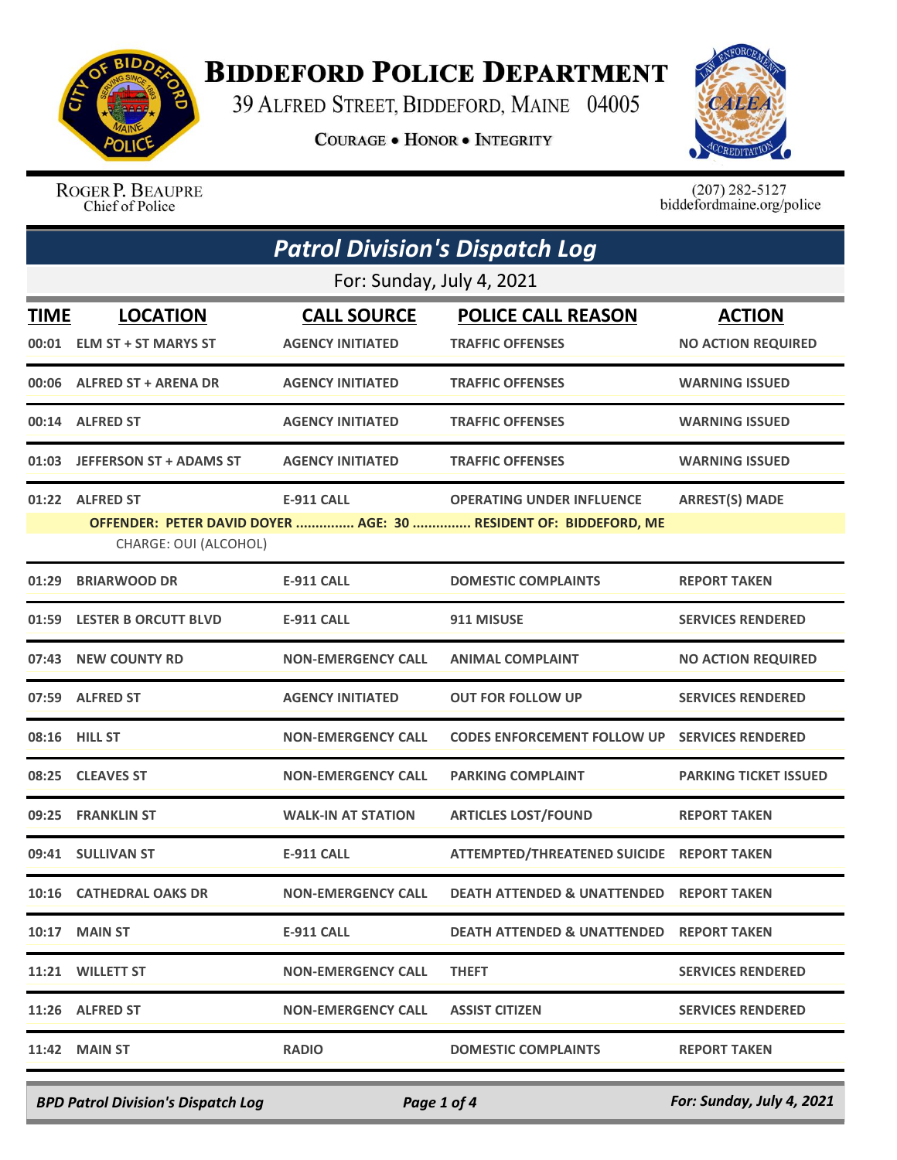

## **BIDDEFORD POLICE DEPARTMENT**

39 ALFRED STREET, BIDDEFORD, MAINE 04005

**COURAGE . HONOR . INTEGRITY** 



ROGER P. BEAUPRE Chief of Police

 $(207)$  282-5127<br>biddefordmaine.org/police

| <b>Patrol Division's Dispatch Log</b> |                                                |                                               |                                                                                                      |                                            |  |  |  |
|---------------------------------------|------------------------------------------------|-----------------------------------------------|------------------------------------------------------------------------------------------------------|--------------------------------------------|--|--|--|
|                                       | For: Sunday, July 4, 2021                      |                                               |                                                                                                      |                                            |  |  |  |
| <b>TIME</b><br>00:01                  | <b>LOCATION</b><br><b>ELM ST + ST MARYS ST</b> | <b>CALL SOURCE</b><br><b>AGENCY INITIATED</b> | <b>POLICE CALL REASON</b><br><b>TRAFFIC OFFENSES</b>                                                 | <b>ACTION</b><br><b>NO ACTION REQUIRED</b> |  |  |  |
|                                       | 00:06 ALFRED ST + ARENA DR                     | <b>AGENCY INITIATED</b>                       | <b>TRAFFIC OFFENSES</b>                                                                              | <b>WARNING ISSUED</b>                      |  |  |  |
|                                       | 00:14 ALFRED ST                                | <b>AGENCY INITIATED</b>                       | <b>TRAFFIC OFFENSES</b>                                                                              | <b>WARNING ISSUED</b>                      |  |  |  |
| 01:03                                 | <b>JEFFERSON ST + ADAMS ST</b>                 | <b>AGENCY INITIATED</b>                       | <b>TRAFFIC OFFENSES</b>                                                                              | <b>WARNING ISSUED</b>                      |  |  |  |
|                                       | 01:22 ALFRED ST<br>CHARGE: OUI (ALCOHOL)       | <b>E-911 CALL</b>                             | <b>OPERATING UNDER INFLUENCE</b><br>OFFENDER: PETER DAVID DOYER  AGE: 30  RESIDENT OF: BIDDEFORD, ME | <b>ARREST(S) MADE</b>                      |  |  |  |
| 01:29                                 | <b>BRIARWOOD DR</b>                            | <b>E-911 CALL</b>                             | <b>DOMESTIC COMPLAINTS</b>                                                                           | <b>REPORT TAKEN</b>                        |  |  |  |
|                                       | 01:59 LESTER B ORCUTT BLVD                     | <b>E-911 CALL</b>                             | 911 MISUSE                                                                                           | <b>SERVICES RENDERED</b>                   |  |  |  |
| 07:43                                 | <b>NEW COUNTY RD</b>                           | <b>NON-EMERGENCY CALL</b>                     | <b>ANIMAL COMPLAINT</b>                                                                              | <b>NO ACTION REQUIRED</b>                  |  |  |  |
|                                       | 07:59 ALFRED ST                                | <b>AGENCY INITIATED</b>                       | <b>OUT FOR FOLLOW UP</b>                                                                             | <b>SERVICES RENDERED</b>                   |  |  |  |
| 08:16                                 | <b>HILL ST</b>                                 | <b>NON-EMERGENCY CALL</b>                     | <b>CODES ENFORCEMENT FOLLOW UP</b>                                                                   | <b>SERVICES RENDERED</b>                   |  |  |  |
| 08:25                                 | <b>CLEAVES ST</b>                              | <b>NON-EMERGENCY CALL</b>                     | <b>PARKING COMPLAINT</b>                                                                             | <b>PARKING TICKET ISSUED</b>               |  |  |  |
| 09:25                                 | <b>FRANKLIN ST</b>                             | <b>WALK-IN AT STATION</b>                     | <b>ARTICLES LOST/FOUND</b>                                                                           | <b>REPORT TAKEN</b>                        |  |  |  |
| 09:41                                 | <b>SULLIVAN ST</b>                             | <b>E-911 CALL</b>                             | <b>ATTEMPTED/THREATENED SUICIDE</b>                                                                  | <b>REPORT TAKEN</b>                        |  |  |  |
|                                       | 10:16 CATHEDRAL OAKS DR                        | <b>NON-EMERGENCY CALL</b>                     | <b>DEATH ATTENDED &amp; UNATTENDED REPORT TAKEN</b>                                                  |                                            |  |  |  |
|                                       | <b>10:17 MAIN ST</b>                           | E-911 CALL                                    | <b>DEATH ATTENDED &amp; UNATTENDED REPORT TAKEN</b>                                                  |                                            |  |  |  |
|                                       | 11:21 WILLETT ST                               | <b>NON-EMERGENCY CALL</b>                     | <b>THEFT</b>                                                                                         | <b>SERVICES RENDERED</b>                   |  |  |  |
|                                       | 11:26 ALFRED ST                                | <b>NON-EMERGENCY CALL</b>                     | <b>ASSIST CITIZEN</b>                                                                                | <b>SERVICES RENDERED</b>                   |  |  |  |
|                                       | <b>11:42 MAIN ST</b>                           | <b>RADIO</b>                                  | <b>DOMESTIC COMPLAINTS</b>                                                                           | <b>REPORT TAKEN</b>                        |  |  |  |
|                                       |                                                |                                               |                                                                                                      |                                            |  |  |  |

*BPD Patrol Division's Dispatch Log Page 1 of 4 For: Sunday, July 4, 2021*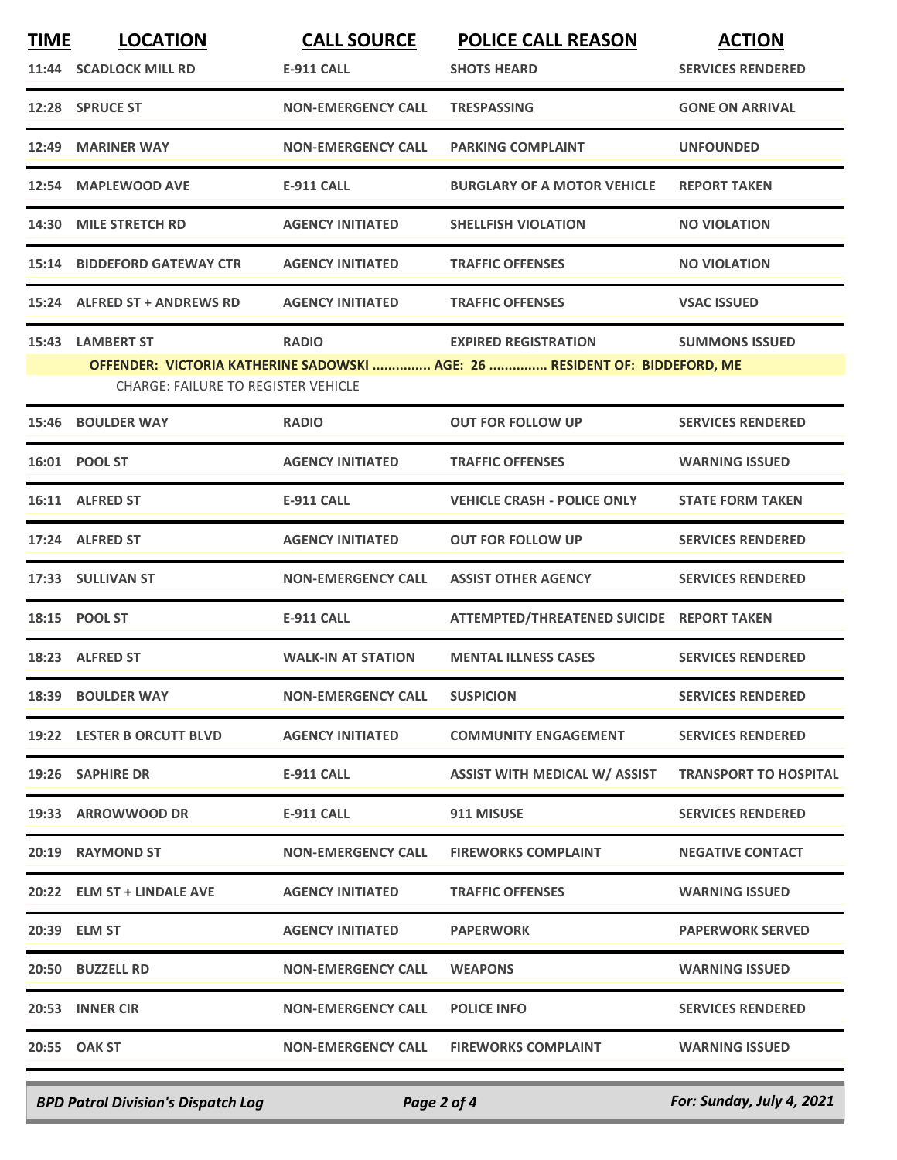| <b>TIME</b> | <b>LOCATION</b>                                                 | <b>CALL SOURCE</b>        | <b>POLICE CALL REASON</b>                                                                                 | <b>ACTION</b>                |
|-------------|-----------------------------------------------------------------|---------------------------|-----------------------------------------------------------------------------------------------------------|------------------------------|
|             | 11:44 SCADLOCK MILL RD                                          | <b>E-911 CALL</b>         | <b>SHOTS HEARD</b>                                                                                        | <b>SERVICES RENDERED</b>     |
|             | 12:28 SPRUCE ST                                                 | <b>NON-EMERGENCY CALL</b> | <b>TRESPASSING</b>                                                                                        | <b>GONE ON ARRIVAL</b>       |
| 12:49       | <b>MARINER WAY</b>                                              | <b>NON-EMERGENCY CALL</b> | <b>PARKING COMPLAINT</b>                                                                                  | <b>UNFOUNDED</b>             |
|             | 12:54 MAPLEWOOD AVE                                             | <b>E-911 CALL</b>         | <b>BURGLARY OF A MOTOR VEHICLE</b>                                                                        | <b>REPORT TAKEN</b>          |
| 14:30       | <b>MILE STRETCH RD</b>                                          | <b>AGENCY INITIATED</b>   | <b>SHELLFISH VIOLATION</b>                                                                                | <b>NO VIOLATION</b>          |
| 15:14       | <b>BIDDEFORD GATEWAY CTR</b>                                    | <b>AGENCY INITIATED</b>   | <b>TRAFFIC OFFENSES</b>                                                                                   | <b>NO VIOLATION</b>          |
|             | 15:24 ALFRED ST + ANDREWS RD                                    | <b>AGENCY INITIATED</b>   | <b>TRAFFIC OFFENSES</b>                                                                                   | <b>VSAC ISSUED</b>           |
| 15:43       | <b>LAMBERT ST</b><br><b>CHARGE: FAILURE TO REGISTER VEHICLE</b> | <b>RADIO</b>              | <b>EXPIRED REGISTRATION</b><br>OFFENDER: VICTORIA KATHERINE SADOWSKI  AGE: 26  RESIDENT OF: BIDDEFORD, ME | <b>SUMMONS ISSUED</b>        |
| 15:46       | <b>BOULDER WAY</b>                                              | <b>RADIO</b>              | <b>OUT FOR FOLLOW UP</b>                                                                                  | <b>SERVICES RENDERED</b>     |
|             | 16:01 POOL ST                                                   | <b>AGENCY INITIATED</b>   | <b>TRAFFIC OFFENSES</b>                                                                                   | <b>WARNING ISSUED</b>        |
|             | 16:11 ALFRED ST                                                 | <b>E-911 CALL</b>         | <b>VEHICLE CRASH - POLICE ONLY</b>                                                                        | <b>STATE FORM TAKEN</b>      |
|             | 17:24 ALFRED ST                                                 | <b>AGENCY INITIATED</b>   | <b>OUT FOR FOLLOW UP</b>                                                                                  | <b>SERVICES RENDERED</b>     |
|             | 17:33 SULLIVAN ST                                               | <b>NON-EMERGENCY CALL</b> | <b>ASSIST OTHER AGENCY</b>                                                                                | <b>SERVICES RENDERED</b>     |
|             | 18:15 POOL ST                                                   | <b>E-911 CALL</b>         | ATTEMPTED/THREATENED SUICIDE REPORT TAKEN                                                                 |                              |
|             | 18:23 ALFRED ST                                                 | <b>WALK-IN AT STATION</b> | <b>MENTAL ILLNESS CASES</b>                                                                               | <b>SERVICES RENDERED</b>     |
|             | 18:39 BOULDER WAY                                               | <b>NON-EMERGENCY CALL</b> | <b>SUSPICION</b>                                                                                          | <b>SERVICES RENDERED</b>     |
|             | 19:22 LESTER B ORCUTT BLVD                                      | <b>AGENCY INITIATED</b>   | <b>COMMUNITY ENGAGEMENT</b>                                                                               | <b>SERVICES RENDERED</b>     |
|             | 19:26 SAPHIRE DR                                                | <b>E-911 CALL</b>         | <b>ASSIST WITH MEDICAL W/ ASSIST</b>                                                                      | <b>TRANSPORT TO HOSPITAL</b> |
|             | 19:33 ARROWWOOD DR                                              | <b>E-911 CALL</b>         | 911 MISUSE                                                                                                | <b>SERVICES RENDERED</b>     |
|             | 20:19 RAYMOND ST                                                | <b>NON-EMERGENCY CALL</b> | <b>FIREWORKS COMPLAINT</b>                                                                                | <b>NEGATIVE CONTACT</b>      |
|             | 20:22 ELM ST + LINDALE AVE                                      | <b>AGENCY INITIATED</b>   | <b>TRAFFIC OFFENSES</b>                                                                                   | <b>WARNING ISSUED</b>        |
|             | 20:39 ELM ST                                                    | <b>AGENCY INITIATED</b>   | <b>PAPERWORK</b>                                                                                          | <b>PAPERWORK SERVED</b>      |
|             | 20:50 BUZZELL RD                                                | <b>NON-EMERGENCY CALL</b> | <b>WEAPONS</b>                                                                                            | <b>WARNING ISSUED</b>        |
|             | 20:53 INNER CIR                                                 | <b>NON-EMERGENCY CALL</b> | <b>POLICE INFO</b>                                                                                        | <b>SERVICES RENDERED</b>     |
|             | 20:55 OAK ST                                                    | <b>NON-EMERGENCY CALL</b> | <b>FIREWORKS COMPLAINT</b>                                                                                | <b>WARNING ISSUED</b>        |
|             |                                                                 |                           |                                                                                                           |                              |

*BPD Patrol Division's Dispatch Log Page 2 of 4 For: Sunday, July 4, 2021*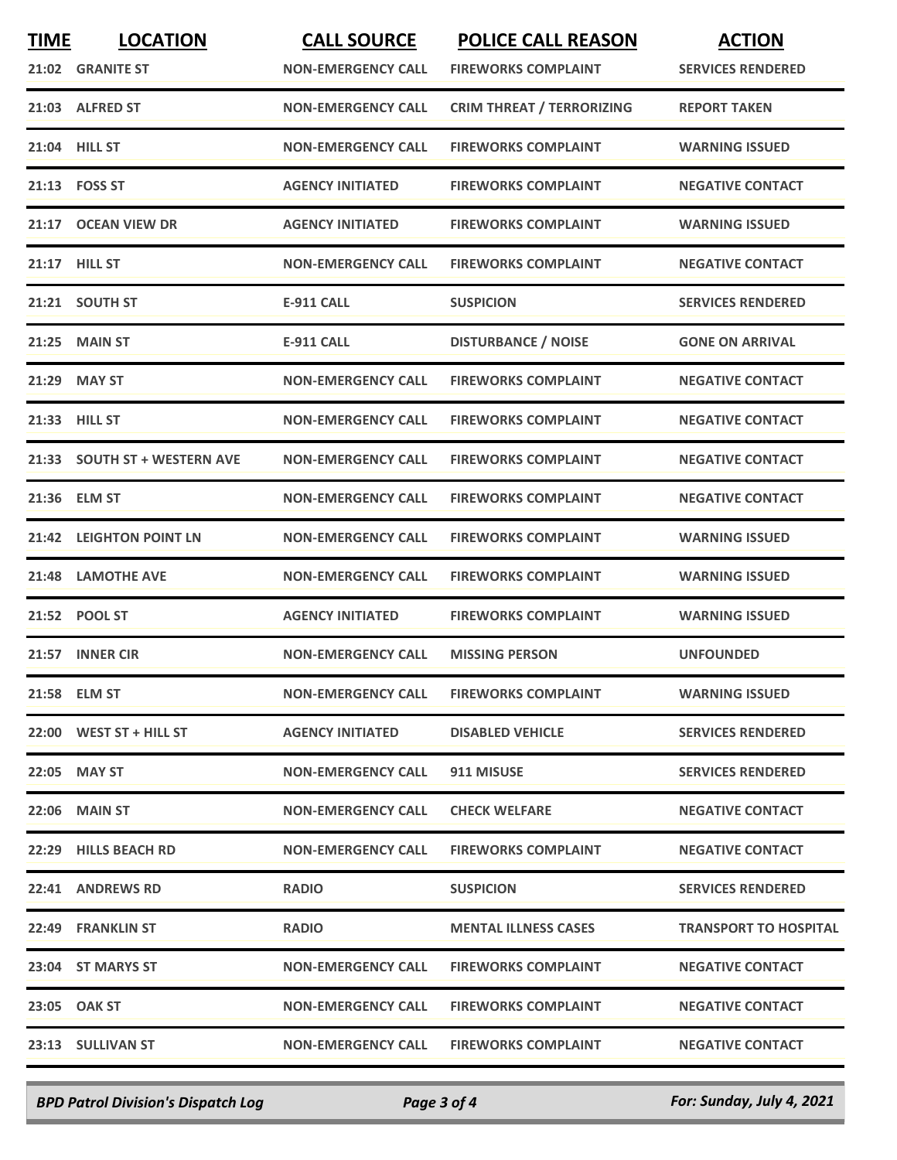| <b>FIREWORKS COMPLAINT</b><br>21:02 GRANITE ST<br><b>NON-EMERGENCY CALL</b><br><b>CRIM THREAT / TERRORIZING</b><br>21:03 ALFRED ST<br><b>NON-EMERGENCY CALL</b><br>21:04 HILL ST<br><b>NON-EMERGENCY CALL</b><br><b>FIREWORKS COMPLAINT</b><br>21:13    FOSS ST<br><b>AGENCY INITIATED</b><br><b>FIREWORKS COMPLAINT</b><br>21:17 OCEAN VIEW DR<br><b>AGENCY INITIATED</b><br><b>FIREWORKS COMPLAINT</b><br>21:17 HILL ST<br><b>NON-EMERGENCY CALL</b><br><b>FIREWORKS COMPLAINT</b><br>21:21 SOUTH ST<br><b>E-911 CALL</b><br><b>SUSPICION</b><br><b>DISTURBANCE / NOISE</b><br><b>MAIN ST</b><br>21:25<br><b>E-911 CALL</b><br><b>MAY ST</b><br><b>NON-EMERGENCY CALL</b><br><b>FIREWORKS COMPLAINT</b><br>21:29<br>21:33 HILL ST<br><b>NON-EMERGENCY CALL</b><br><b>FIREWORKS COMPLAINT</b><br><b>SOUTH ST + WESTERN AVE</b><br>21:33<br><b>NON-EMERGENCY CALL</b><br><b>FIREWORKS COMPLAINT</b> | <b>SERVICES RENDERED</b><br><b>REPORT TAKEN</b><br><b>WARNING ISSUED</b><br><b>NEGATIVE CONTACT</b><br><b>WARNING ISSUED</b><br><b>NEGATIVE CONTACT</b> |
|-----------------------------------------------------------------------------------------------------------------------------------------------------------------------------------------------------------------------------------------------------------------------------------------------------------------------------------------------------------------------------------------------------------------------------------------------------------------------------------------------------------------------------------------------------------------------------------------------------------------------------------------------------------------------------------------------------------------------------------------------------------------------------------------------------------------------------------------------------------------------------------------------------|---------------------------------------------------------------------------------------------------------------------------------------------------------|
|                                                                                                                                                                                                                                                                                                                                                                                                                                                                                                                                                                                                                                                                                                                                                                                                                                                                                                     |                                                                                                                                                         |
|                                                                                                                                                                                                                                                                                                                                                                                                                                                                                                                                                                                                                                                                                                                                                                                                                                                                                                     |                                                                                                                                                         |
|                                                                                                                                                                                                                                                                                                                                                                                                                                                                                                                                                                                                                                                                                                                                                                                                                                                                                                     |                                                                                                                                                         |
|                                                                                                                                                                                                                                                                                                                                                                                                                                                                                                                                                                                                                                                                                                                                                                                                                                                                                                     |                                                                                                                                                         |
|                                                                                                                                                                                                                                                                                                                                                                                                                                                                                                                                                                                                                                                                                                                                                                                                                                                                                                     |                                                                                                                                                         |
|                                                                                                                                                                                                                                                                                                                                                                                                                                                                                                                                                                                                                                                                                                                                                                                                                                                                                                     |                                                                                                                                                         |
|                                                                                                                                                                                                                                                                                                                                                                                                                                                                                                                                                                                                                                                                                                                                                                                                                                                                                                     | <b>SERVICES RENDERED</b>                                                                                                                                |
|                                                                                                                                                                                                                                                                                                                                                                                                                                                                                                                                                                                                                                                                                                                                                                                                                                                                                                     | <b>GONE ON ARRIVAL</b>                                                                                                                                  |
|                                                                                                                                                                                                                                                                                                                                                                                                                                                                                                                                                                                                                                                                                                                                                                                                                                                                                                     | <b>NEGATIVE CONTACT</b>                                                                                                                                 |
|                                                                                                                                                                                                                                                                                                                                                                                                                                                                                                                                                                                                                                                                                                                                                                                                                                                                                                     | <b>NEGATIVE CONTACT</b>                                                                                                                                 |
|                                                                                                                                                                                                                                                                                                                                                                                                                                                                                                                                                                                                                                                                                                                                                                                                                                                                                                     | <b>NEGATIVE CONTACT</b>                                                                                                                                 |
| <b>ELM ST</b><br><b>NON-EMERGENCY CALL</b><br><b>FIREWORKS COMPLAINT</b><br>21:36                                                                                                                                                                                                                                                                                                                                                                                                                                                                                                                                                                                                                                                                                                                                                                                                                   | <b>NEGATIVE CONTACT</b>                                                                                                                                 |
| <b>LEIGHTON POINT LN</b><br><b>NON-EMERGENCY CALL</b><br><b>FIREWORKS COMPLAINT</b><br>21:42                                                                                                                                                                                                                                                                                                                                                                                                                                                                                                                                                                                                                                                                                                                                                                                                        | <b>WARNING ISSUED</b>                                                                                                                                   |
| 21:48<br><b>LAMOTHE AVE</b><br><b>NON-EMERGENCY CALL</b><br><b>FIREWORKS COMPLAINT</b>                                                                                                                                                                                                                                                                                                                                                                                                                                                                                                                                                                                                                                                                                                                                                                                                              | <b>WARNING ISSUED</b>                                                                                                                                   |
| <b>AGENCY INITIATED</b><br>21:52 POOL ST<br><b>FIREWORKS COMPLAINT</b>                                                                                                                                                                                                                                                                                                                                                                                                                                                                                                                                                                                                                                                                                                                                                                                                                              | <b>WARNING ISSUED</b>                                                                                                                                   |
| <b>INNER CIR</b><br><b>NON-EMERGENCY CALL</b><br>21:57<br><b>MISSING PERSON</b>                                                                                                                                                                                                                                                                                                                                                                                                                                                                                                                                                                                                                                                                                                                                                                                                                     | <b>UNFOUNDED</b>                                                                                                                                        |
| <b>NON-EMERGENCY CALL</b><br>21:58 ELM ST<br><b>FIREWORKS COMPLAINT</b>                                                                                                                                                                                                                                                                                                                                                                                                                                                                                                                                                                                                                                                                                                                                                                                                                             | <b>WARNING ISSUED</b>                                                                                                                                   |
| 22:00 WEST ST + HILL ST<br><b>AGENCY INITIATED</b><br><b>DISABLED VEHICLE</b>                                                                                                                                                                                                                                                                                                                                                                                                                                                                                                                                                                                                                                                                                                                                                                                                                       | <b>SERVICES RENDERED</b>                                                                                                                                |
| 22:05 MAY ST<br><b>NON-EMERGENCY CALL</b><br>911 MISUSE                                                                                                                                                                                                                                                                                                                                                                                                                                                                                                                                                                                                                                                                                                                                                                                                                                             | <b>SERVICES RENDERED</b>                                                                                                                                |
| <b>22:06 MAIN ST</b><br><b>NON-EMERGENCY CALL</b><br><b>CHECK WELFARE</b>                                                                                                                                                                                                                                                                                                                                                                                                                                                                                                                                                                                                                                                                                                                                                                                                                           | <b>NEGATIVE CONTACT</b>                                                                                                                                 |
| 22:29 HILLS BEACH RD<br><b>NON-EMERGENCY CALL</b><br><b>FIREWORKS COMPLAINT</b>                                                                                                                                                                                                                                                                                                                                                                                                                                                                                                                                                                                                                                                                                                                                                                                                                     | <b>NEGATIVE CONTACT</b>                                                                                                                                 |
| 22:41 ANDREWS RD<br><b>RADIO</b><br><b>SUSPICION</b>                                                                                                                                                                                                                                                                                                                                                                                                                                                                                                                                                                                                                                                                                                                                                                                                                                                | <b>SERVICES RENDERED</b>                                                                                                                                |
| 22:49 FRANKLIN ST<br><b>RADIO</b><br><b>MENTAL ILLNESS CASES</b>                                                                                                                                                                                                                                                                                                                                                                                                                                                                                                                                                                                                                                                                                                                                                                                                                                    | <b>TRANSPORT TO HOSPITAL</b>                                                                                                                            |
| 23:04 ST MARYS ST<br><b>NON-EMERGENCY CALL</b><br><b>FIREWORKS COMPLAINT</b>                                                                                                                                                                                                                                                                                                                                                                                                                                                                                                                                                                                                                                                                                                                                                                                                                        | <b>NEGATIVE CONTACT</b>                                                                                                                                 |
| 23:05 OAK ST<br><b>NON-EMERGENCY CALL</b><br><b>FIREWORKS COMPLAINT</b>                                                                                                                                                                                                                                                                                                                                                                                                                                                                                                                                                                                                                                                                                                                                                                                                                             |                                                                                                                                                         |
| 23:13 SULLIVAN ST<br><b>NON-EMERGENCY CALL</b><br><b>FIREWORKS COMPLAINT</b><br><b>NEGATIVE CONTACT</b>                                                                                                                                                                                                                                                                                                                                                                                                                                                                                                                                                                                                                                                                                                                                                                                             | <b>NEGATIVE CONTACT</b>                                                                                                                                 |

*BPD Patrol Division's Dispatch Log Page 3 of 4 For: Sunday, July 4, 2021*